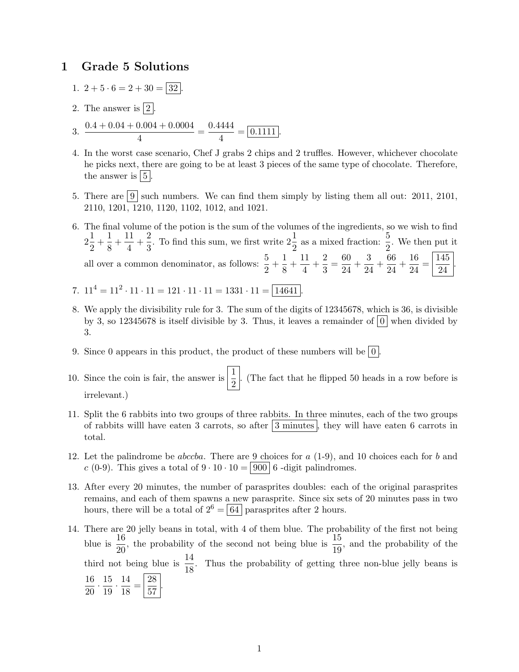## 1 Grade 5 Solutions

- 1.  $2 + 5 \cdot 6 = 2 + 30 = 32$ .
- 2. The answer is  $|2|$ .
- 3.  $\frac{0.4 + 0.04 + 0.004 + 0.0004}{4}$  $\frac{0.004 + 0.0004}{4} = \frac{0.4444}{4}$  $\frac{1111}{4} = 0.1111.$
- 4. In the worst case scenario, Chef J grabs 2 chips and 2 truffles. However, whichever chocolate he picks next, there are going to be at least 3 pieces of the same type of chocolate. Therefore, the answer is  $\vert 5 \vert$ .
- 5. There are  $\boxed{9}$  such numbers. We can find them simply by listing them all out: 2011, 2101, 2110, 1201, 1210, 1120, 1102, 1012, and 1021.
- 6. The final volume of the potion is the sum of the volumes of the ingredients, so we wish to find  $2\frac{1}{2}$  $\frac{1}{2} + \frac{1}{8}$  $\frac{1}{8} + \frac{11}{4}$  $\frac{11}{4} + \frac{2}{3}$  $\frac{2}{3}$ . To find this sum, we first write  $2\frac{1}{2}$  as a mixed fraction:  $\frac{5}{2}$ . We then put it all over a common denominator, as follows:  $\frac{5}{2} + \frac{1}{8}$  $\frac{1}{8} + \frac{11}{4}$  $\frac{11}{4} + \frac{2}{3}$  $\frac{2}{3} = \frac{60}{24}$  $\frac{60}{24} + \frac{3}{24}$  $rac{3}{24} + \frac{66}{24}$  $\frac{66}{24} + \frac{16}{24}$  $rac{16}{24} = \frac{145}{24}$ 24 .
- 7.  $11^4 = 11^2 \cdot 11 \cdot 11 = 121 \cdot 11 \cdot 11 = 1331 \cdot 11 = \boxed{14641}.$
- 8. We apply the divisibility rule for 3. The sum of the digits of 12345678, which is 36, is divisible by 3, so 12345678 is itself divisible by 3. Thus, it leaves a remainder of  $|0|$  when divided by 3.
- 9. Since 0 appears in this product, the product of these numbers will be  $|0|$ .
- 10. Since the coin is fair, the answer is  $\frac{1}{2}$ . (The fact that he flipped 50 heads in a row before is irrelevant.)
- 11. Split the 6 rabbits into two groups of three rabbits. In three minutes, each of the two groups of rabbits will have eaten 3 carrots, so after  $|3 \text{ minutes}|$ , they will have eaten 6 carrots in total.
- 12. Let the palindrome be *abccba*. There are 9 choices for  $a(1-9)$ , and 10 choices each for  $b$  and c (0-9). This gives a total of  $9 \cdot 10 \cdot 10 = |900|$  6 -digit palindromes.
- 13. After every 20 minutes, the number of parasprites doubles: each of the original parasprites remains, and each of them spawns a new parasprite. Since six sets of 20 minutes pass in two hours, there will be a total of  $2^6 = 64$  parasprites after 2 hours.
- 14. There are 20 jelly beans in total, with 4 of them blue. The probability of the first not being blue is  $\frac{16}{20}$ , the probability of the second not being blue is  $\frac{15}{19}$ , and the probability of the third not being blue is  $\frac{14}{18}$ . Thus the probability of getting three non-blue jelly beans is 16  $\frac{16}{20} \cdot \frac{15}{19}$  $\frac{15}{19} \cdot \frac{14}{18}$  $\frac{14}{18} = \frac{28}{57}$  $\frac{20}{57}$ .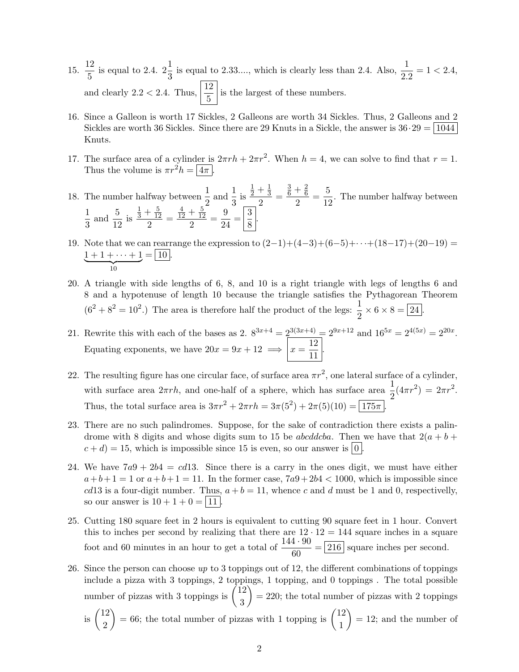- 15.  $\frac{12}{5}$  $\frac{12}{5}$  is equal to 2.4.  $2\frac{1}{3}$  is equal to 2.33...., which is clearly less than 2.4. Also,  $\frac{1}{2.2} = 1 < 2.4$ , and clearly 2.2 < 2.4. Thus,  $\left|\frac{12}{5}\right|$  is the largest of these numbers.
- 16. Since a Galleon is worth 17 Sickles, 2 Galleons are worth 34 Sickles. Thus, 2 Galleons and 2 Sickles are worth 36 Sickles. Since there are 29 Knuts in a Sickle, the answer is  $36 \cdot 29 = 1044$ Knuts.
- 17. The surface area of a cylinder is  $2\pi rh + 2\pi r^2$ . When  $h = 4$ , we can solve to find that  $r = 1$ . Thus the volume is  $\pi r^2 h = \sqrt{4\pi}$
- 18. The number halfway between  $\frac{1}{2}$  and  $\frac{1}{3}$  is  $rac{1}{2} + \frac{1}{3}$ 3  $\frac{3}{2}$  =  $\frac{3}{6} + \frac{2}{6}$ 6  $\frac{+\frac{2}{6}}{2} = \frac{5}{12}$  $\frac{0}{12}$ . The number halfway between 1  $\frac{1}{3}$  and  $\frac{5}{12}$  is  $rac{1}{3} + \frac{5}{12}$ 12  $\frac{12}{2}$  =  $\frac{4}{12} + \frac{5}{12}$ 12  $\frac{+\frac{5}{12}}{2} = \frac{9}{24}$  $\frac{9}{24} = \left|\frac{3}{8}\right|$  $\frac{8}{8}$ .
- 19. Note that we can rearrange the expression to  $(2-1)+(4-3)+(6-5)+\cdots+(18-17)+(20-19)$  $1 + 1 + \cdots + 1$  $\overline{\phantom{a}10}$  $= | 10 |.$
- 20. A triangle with side lengths of 6, 8, and 10 is a right triangle with legs of lengths 6 and 8 and a hypotenuse of length 10 because the triangle satisfies the Pythagorean Theorem  $(6^2 + 8^2 = 10^2)$  The area is therefore half the product of the legs:  $\frac{1}{2} \times 6 \times 8 = 24$ .
- 21. Rewrite this with each of the bases as 2.  $8^{3x+4} = 2^{3(3x+4)} = 2^{9x+12}$  and  $16^{5x} = 2^{4(5x)} = 2^{20x}$ . Equating exponents, we have  $20x = 9x + 12 \implies x = \frac{12}{11}$  $\frac{12}{11}$ .
- 22. The resulting figure has one circular face, of surface area  $\pi r^2$ , one lateral surface of a cylinder, with surface area  $2\pi rh$ , and one-half of a sphere, which has surface area  $\frac{1}{2}(4\pi r^2) = 2\pi r^2$ . Thus, the total surface area is  $3\pi r^2 + 2\pi rh = 3\pi (5^2) + 2\pi (5)(10) = 175\pi$ .
- 23. There are no such palindromes. Suppose, for the sake of contradiction there exists a palindrome with 8 digits and whose digits sum to 15 be *abcddcba*. Then we have that  $2(a + b + b)$  $c + d$ ) = 15, which is impossible since 15 is even, so our answer is  $|0|$ .
- 24. We have  $7a9 + 2b4 = cd13$ . Since there is a carry in the ones digit, we must have either  $a+b+1=1$  or  $a+b+1=11$ . In the former case,  $7a9+2b4<1000$ , which is impossible since cd13 is a four-digit number. Thus,  $a + b = 11$ , whence c and d must be 1 and 0, respectivelly, so our answer is  $10 + 1 + 0 = |11|$ .
- 25. Cutting 180 square feet in 2 hours is equivalent to cutting 90 square feet in 1 hour. Convert this to inches per second by realizing that there are  $12 \cdot 12 = 144$  square inches in a square foot and 60 minutes in an hour to get a total of  $\frac{144 \cdot 90}{60} = 216$  square inches per second.
- 26. Since the person can choose  $up$  to 3 toppings out of 12, the different combinations of toppings include a pizza with 3 toppings, 2 toppings, 1 topping, and 0 toppings . The total possible number of pizzas with 3 toppings is  $\binom{12}{3}$ 3  $= 220$ ; the total number of pizzas with 2 toppings
	- is  $\binom{12}{8}$ 2  $= 66$ ; the total number of pizzas with 1 topping is  $\binom{12}{1}$ 1  $= 12$ ; and the number of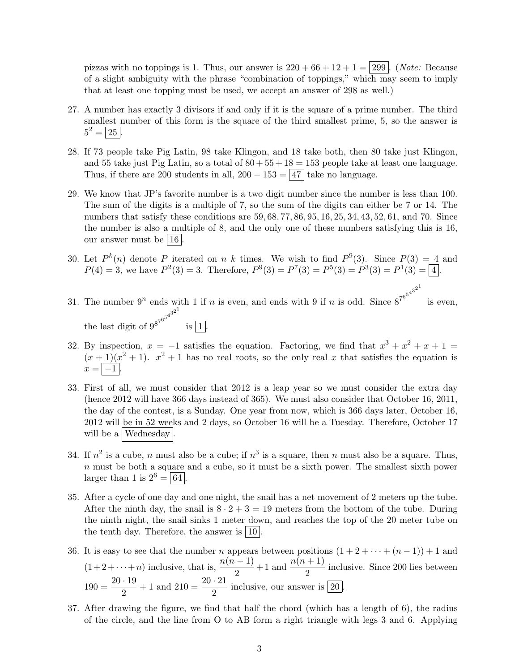pizzas with no toppings is 1. Thus, our answer is  $220 + 66 + 12 + 1 = 299$ . (Note: Because of a slight ambiguity with the phrase "combination of toppings," which may seem to imply that at least one topping must be used, we accept an answer of 298 as well.)

- 27. A number has exactly 3 divisors if and only if it is the square of a prime number. The third smallest number of this form is the square of the third smallest prime, 5, so the answer is  $5^2 = 25$ .
- 28. If 73 people take Pig Latin, 98 take Klingon, and 18 take both, then 80 take just Klingon, and 55 take just Pig Latin, so a total of  $80 + 55 + 18 = 153$  people take at least one language. Thus, if there are 200 students in all,  $200 - 153 = |47|$  take no language.
- 29. We know that JP's favorite number is a two digit number since the number is less than 100. The sum of the digits is a multiple of 7, so the sum of the digits can either be 7 or 14. The numbers that satisfy these conditions are  $59, 68, 77, 86, 95, 16, 25, 34, 43, 52, 61,$  and 70. Since the number is also a multiple of 8, and the only one of these numbers satisfying this is 16, our answer must be  $|16|$
- 30. Let  $P^k(n)$  denote P iterated on n k times. We wish to find  $P^9(3)$ . Since  $P(3) = 4$  and  $P(4) = 3$ , we have  $P^{2}(3) = 3$ . Therefore,  $P^{9}(3) = P^{7}(3) = P^{5}(3) = P^{3}(3) = P^{1}(3) = 4$ .
- 31. The number  $9^n$  ends with 1 if n is even, and ends with 9 if n is odd. Since  $8^{7^{6^{5^{4^{3^{2}}}}}}$ is even, the last digit of  $9^{8^{7^{6^5}}}$  $4^{3^{2^{1}}}$ is  $|1|$ .
- 32. By inspection,  $x = -1$  satisfies the equation. Factoring, we find that  $x^3 + x^2 + x + 1 =$  $(x+1)(x^2+1)$ .  $x^2+1$  has no real roots, so the only real x that satisfies the equation is  $x = |-1|$ .
- 33. First of all, we must consider that 2012 is a leap year so we must consider the extra day (hence 2012 will have 366 days instead of 365). We must also consider that October 16, 2011, the day of the contest, is a Sunday. One year from now, which is 366 days later, October 16, 2012 will be in 52 weeks and 2 days, so October 16 will be a Tuesday. Therefore, October 17 will be a  $\vert$  Wednesday
- 34. If  $n^2$  is a cube, n must also be a cube; if  $n^3$  is a square, then n must also be a square. Thus,  $n$  must be both a square and a cube, so it must be a sixth power. The smallest sixth power larger than 1 is  $2^6 = 64$ .
- 35. After a cycle of one day and one night, the snail has a net movement of 2 meters up the tube. After the ninth day, the snail is  $8 \cdot 2 + 3 = 19$  meters from the bottom of the tube. During the ninth night, the snail sinks 1 meter down, and reaches the top of the 20 meter tube on the tenth day. Therefore, the answer is  $|10|$ .
- 36. It is easy to see that the number *n* appears between positions  $(1 + 2 + \cdots + (n 1)) + 1$  and  $(1+2+\cdots+n)$  inclusive, that is,  $\frac{n(n-1)}{2}+1$  and  $\frac{n(n+1)}{2}$  inclusive. Since 200 lies between  $190 = \frac{20 \cdot 19}{8}$  $\frac{19}{2} + 1$  and  $210 = \frac{20 \cdot 21}{2}$  inclusive, our answer is  $\boxed{20}$ .
- 37. After drawing the figure, we find that half the chord (which has a length of 6), the radius of the circle, and the line from O to AB form a right triangle with legs 3 and 6. Applying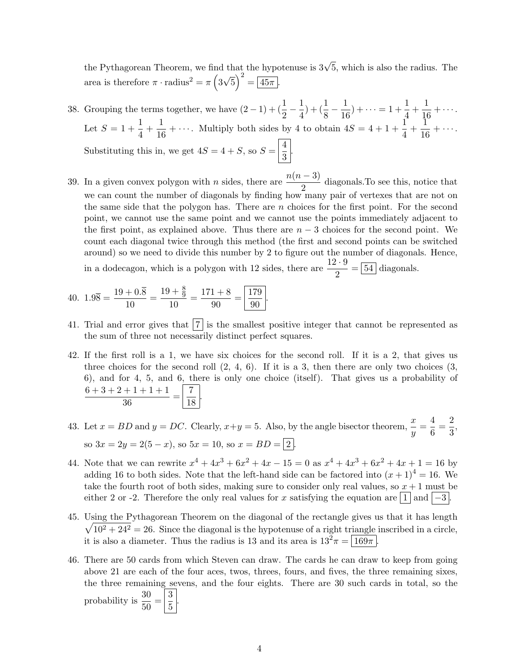the Pythagorean Theorem, we find that the hypotenuse is  $3\sqrt{5}$ , which is also the radius. The area is therefore  $\pi \cdot \text{radius}^2 = \pi \left(3\right)$ √  $\overline{5}$ )<sup>2</sup> =  $\overline{45\pi}$ .

- 38. Grouping the terms together, we have  $(2-1) + (\frac{1}{2} \frac{1}{4})$  $\frac{1}{4}) + (\frac{1}{8} - \frac{1}{16})$  $\frac{1}{16}$ ) + · · · = 1 +  $\frac{1}{4}$  $\frac{1}{4} + \frac{1}{16}$  $\frac{1}{16} + \cdots$ . Let  $S = 1 + \frac{1}{4}$  $\frac{1}{4} + \frac{1}{16}$  $\frac{1}{16} + \cdots$ . Multiply both sides by 4 to obtain  $4S = 4 + 1 + \frac{1}{4} + \frac{1}{16}$  $\frac{1}{16} + \cdots$ . Substituting this in, we get  $4S = 4 + S$ , so  $S = \frac{4}{3}$  $\frac{1}{3}$
- 39. In a given convex polygon with *n* sides, there are  $\frac{n(n-3)}{2}$  diagonals. To see this, notice that we can count the number of diagonals by finding how many pair of vertexes that are not on the same side that the polygon has. There are  $n$  choices for the first point. For the second point, we cannot use the same point and we cannot use the points immediately adjacent to the first point, as explained above. Thus there are  $n-3$  choices for the second point. We count each diagonal twice through this method (the first and second points can be switched around) so we need to divide this number by 2 to figure out the number of diagonals. Hence, in a dodecagon, which is a polygon with 12 sides, there are  $\frac{12 \cdot 9}{2} = 54$  diagonals.

40. 
$$
1.9\overline{8} = \frac{19 + 0.\overline{8}}{10} = \frac{19 + \frac{8}{9}}{10} = \frac{171 + 8}{90} = \boxed{\frac{179}{90}}
$$

41. Trial and error gives that  $|7|$  is the smallest positive integer that cannot be represented as the sum of three not necessarily distinct perfect squares.

.

- 42. If the first roll is a 1, we have six choices for the second roll. If it is a 2, that gives us three choices for the second roll  $(2, 4, 6)$ . If it is a 3, then there are only two choices  $(3, 4, 6)$ . 6), and for 4, 5, and 6, there is only one choice (itself). That gives us a probability of  $6+3+2+1+1+1$  $\frac{+1+1+1}{36} = \frac{7}{18}$  $\frac{1}{18}$ .
- 43. Let  $x = BD$  and  $y = DC$ . Clearly,  $x+y = 5$ . Also, by the angle bisector theorem,  $\frac{x}{y} = \frac{4}{6}$  $\frac{4}{6} = \frac{2}{3}$  $\frac{2}{3}$ so  $3x = 2y = 2(5 - x)$ , so  $5x = 10$ , so  $x = BD = \boxed{2}$ .
- 44. Note that we can rewrite  $x^4 + 4x^3 + 6x^2 + 4x 15 = 0$  as  $x^4 + 4x^3 + 6x^2 + 4x + 1 = 16$  by adding 16 to both sides. Note that the left-hand side can be factored into  $(x + 1)^4 = 16$ . We take the fourth root of both sides, making sure to consider only real values, so  $x + 1$  must be either 2 or -2. Therefore the only real values for x satisfying the equation are  $\lfloor 1 \rfloor$  and  $\lfloor -3 \rfloor$ .
- 45. Using the Pythagorean Theorem on the diagonal of the rectangle gives us that it has length  $\sqrt{10^2 + 24^2} = 26$ . Since the diagonal is the hypotenuse of a right triangle inscribed in a circle, it is also a diameter. Thus the radius is 13 and its area is  $13^2 \pi = 169\pi$ .
- 46. There are 50 cards from which Steven can draw. The cards he can draw to keep from going above 21 are each of the four aces, twos, threes, fours, and fives, the three remaining sixes, the three remaining sevens, and the four eights. There are 30 such cards in total, so the probability is  $\frac{30}{50} = \left| \frac{3}{5} \right|$  $\frac{5}{5}$ .